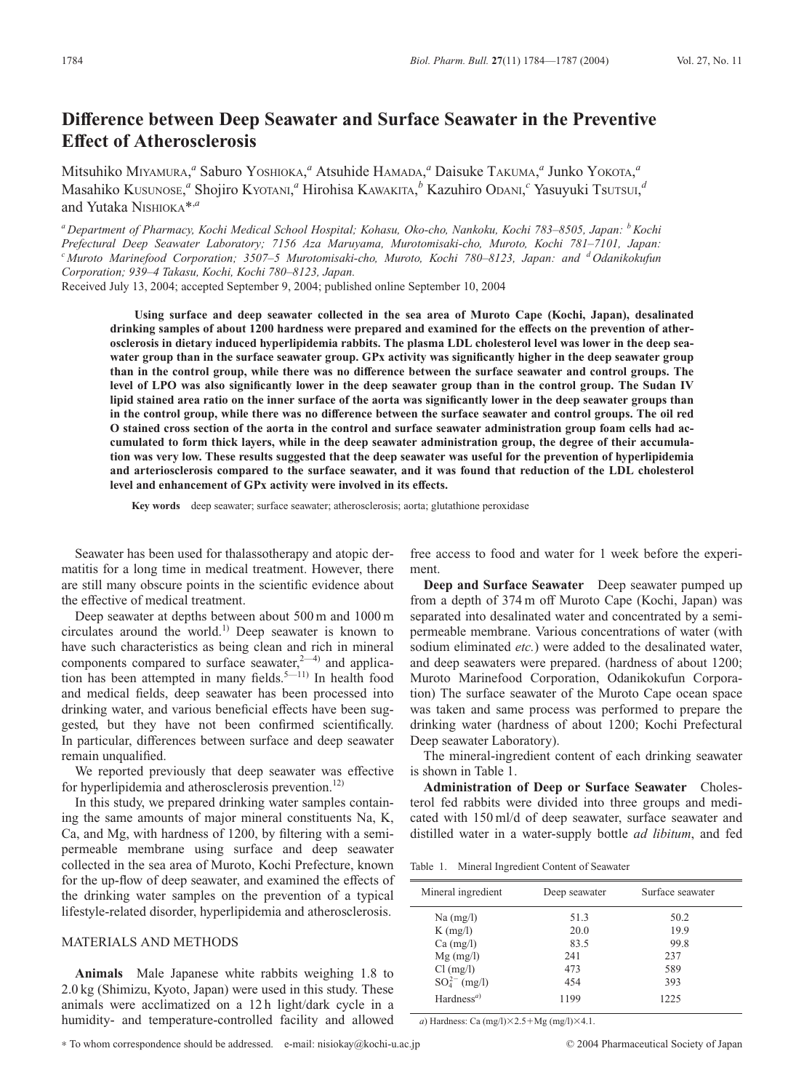# **Difference between Deep Seawater and Surface Seawater in the Preventive Effect of Atherosclerosis**

Mitsuhiko Miyamura,<sup>a</sup> Saburo Yoshioka,<sup>a</sup> Atsuhide Hamada,<sup>a</sup> Daisuke Takuma,<sup>a</sup> Junko Yokota,<sup>a</sup> Masahiko KUSUNOSE, *<sup>a</sup>* Shojiro KYOTANI, *<sup>a</sup>* Hirohisa KAWAKITA, *<sup>b</sup>* Kazuhiro ODANI, *<sup>c</sup>* Yasuyuki TsUTSUI, *d* and Yutaka NISHIOKA\*,*<sup>a</sup>*

*<sup>a</sup> Department of Pharmacy, Kochi Medical School Hospital; Kohasu, Oko-cho, Nankoku, Kochi 783–8505, Japan: bKochi Prefectural Deep Seawater Laboratory; 7156 Aza Maruyama, Murotomisaki-cho, Muroto, Kochi 781–7101, Japan: <sup>c</sup> Muroto Marinefood Corporation; 3507–5 Murotomisaki-cho, Muroto, Kochi 780–8123, Japan: and <sup>d</sup> Odanikokufun Corporation; 939–4 Takasu, Kochi, Kochi 780–8123, Japan.*

Received July 13, 2004; accepted September 9, 2004; published online September 10, 2004

**Using surface and deep seawater collected in the sea area of Muroto Cape (Kochi, Japan), desalinated drinking samples of about 1200 hardness were prepared and examined for the effects on the prevention of atherosclerosis in dietary induced hyperlipidemia rabbits. The plasma LDL cholesterol level was lower in the deep seawater group than in the surface seawater group. GPx activity was significantly higher in the deep seawater group than in the control group, while there was no difference between the surface seawater and control groups. The level of LPO was also significantly lower in the deep seawater group than in the control group. The Sudan IV lipid stained area ratio on the inner surface of the aorta was significantly lower in the deep seawater groups than in the control group, while there was no difference between the surface seawater and control groups. The oil red O stained cross section of the aorta in the control and surface seawater administration group foam cells had accumulated to form thick layers, while in the deep seawater administration group, the degree of their accumulation was very low. These results suggested that the deep seawater was useful for the prevention of hyperlipidemia and arteriosclerosis compared to the surface seawater, and it was found that reduction of the LDL cholesterol level and enhancement of GPx activity were involved in its effects.**

**Key words** deep seawater; surface seawater; atherosclerosis; aorta; glutathione peroxidase

Seawater has been used for thalassotherapy and atopic dermatitis for a long time in medical treatment. However, there are still many obscure points in the scientific evidence about the effective of medical treatment.

Deep seawater at depths between about 500 m and 1000 m circulates around the world.<sup>1)</sup> Deep seawater is known to have such characteristics as being clean and rich in mineral components compared to surface seawater, $2-4$ ) and application has been attempted in many fields.<sup>5—11)</sup> In health food and medical fields, deep seawater has been processed into drinking water, and various beneficial effects have been suggested, but they have not been confirmed scientifically. In particular, differences between surface and deep seawater remain unqualified.

We reported previously that deep seawater was effective for hyperlipidemia and atherosclerosis prevention.<sup>12)</sup>

In this study, we prepared drinking water samples containing the same amounts of major mineral constituents Na, K, Ca, and Mg, with hardness of 1200, by filtering with a semipermeable membrane using surface and deep seawater collected in the sea area of Muroto, Kochi Prefecture, known for the up-flow of deep seawater, and examined the effects of the drinking water samples on the prevention of a typical lifestyle-related disorder, hyperlipidemia and atherosclerosis.

## MATERIALS AND METHODS

**Animals** Male Japanese white rabbits weighing 1.8 to 2.0 kg (Shimizu, Kyoto, Japan) were used in this study. These animals were acclimatized on a 12 h light/dark cycle in a humidity- and temperature-controlled facility and allowed

free access to food and water for 1 week before the experiment.

**Deep and Surface Seawater** Deep seawater pumped up from a depth of 374 m off Muroto Cape (Kochi, Japan) was separated into desalinated water and concentrated by a semipermeable membrane. Various concentrations of water (with sodium eliminated *etc.*) were added to the desalinated water, and deep seawaters were prepared. (hardness of about 1200; Muroto Marinefood Corporation, Odanikokufun Corporation) The surface seawater of the Muroto Cape ocean space was taken and same process was performed to prepare the drinking water (hardness of about 1200; Kochi Prefectural Deep seawater Laboratory).

The mineral-ingredient content of each drinking seawater is shown in Table 1.

**Administration of Deep or Surface Seawater** Cholesterol fed rabbits were divided into three groups and medicated with 150 ml/d of deep seawater, surface seawater and distilled water in a water-supply bottle *ad libitum*, and fed

| Mineral ingredient     | Deep seawater | Surface seawater |
|------------------------|---------------|------------------|
| $Na$ (mg/l)            | 51.3          | 50.2             |
| $K$ (mg/l)             | 20.0          | 19.9             |
| $Ca \ (mg/l)$          | 83.5          | 99.8             |
| $Mg$ (mg/l)            | 241           | 237              |
| $Cl$ (mg/l)            | 473           | 589              |
| $SO_4^{2-}$ (mg/l)     | 454           | 393              |
| Hardness <sup>a)</sup> | 1199          | 1225             |

*a*) Hardness: Ca  $(mg/l) \times 2.5 + Mg (mg/l) \times 4.1$ .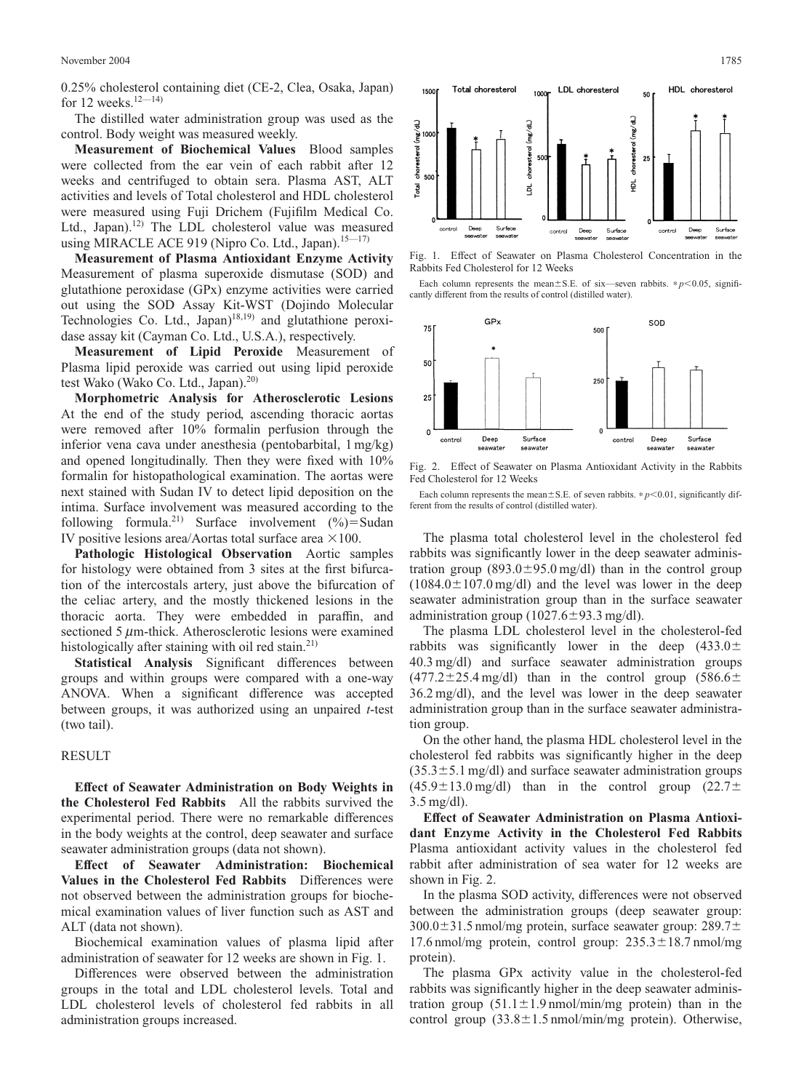0.25% cholesterol containing diet (CE-2, Clea, Osaka, Japan) for 12 weeks.<sup>12—14)</sup>

The distilled water administration group was used as the control. Body weight was measured weekly.

**Measurement of Biochemical Values** Blood samples were collected from the ear vein of each rabbit after 12 weeks and centrifuged to obtain sera. Plasma AST, ALT activities and levels of Total cholesterol and HDL cholesterol were measured using Fuji Drichem (Fujifilm Medical Co. Ltd., Japan).<sup>12)</sup> The LDL cholesterol value was measured using MIRACLE ACE 919 (Nipro Co. Ltd., Japan). $15-17$ )

**Measurement of Plasma Antioxidant Enzyme Activity** Measurement of plasma superoxide dismutase (SOD) and glutathione peroxidase (GPx) enzyme activities were carried out using the SOD Assay Kit-WST (Dojindo Molecular Technologies Co. Ltd., Japan)<sup>18,19)</sup> and glutathione peroxidase assay kit (Cayman Co. Ltd., U.S.A.), respectively.

**Measurement of Lipid Peroxide** Measurement of Plasma lipid peroxide was carried out using lipid peroxide test Wako (Wako Co. Ltd., Japan).<sup>20)</sup>

**Morphometric Analysis for Atherosclerotic Lesions** At the end of the study period, ascending thoracic aortas were removed after 10% formalin perfusion through the inferior vena cava under anesthesia (pentobarbital, 1 mg/kg) and opened longitudinally. Then they were fixed with 10% formalin for histopathological examination. The aortas were next stained with Sudan IV to detect lipid deposition on the intima. Surface involvement was measured according to the following formula.<sup>21)</sup> Surface involvement  $(\%)$ =Sudan IV positive lesions area/Aortas total surface area  $\times 100$ .

**Pathologic Histological Observation** Aortic samples for histology were obtained from 3 sites at the first bifurcation of the intercostals artery, just above the bifurcation of the celiac artery, and the mostly thickened lesions in the thoracic aorta. They were embedded in paraffin, and sectioned 5  $\mu$ m-thick. Atherosclerotic lesions were examined histologically after staining with oil red stain.<sup>21)</sup>

**Statistical Analysis** Significant differences between groups and within groups were compared with a one-way ANOVA. When a significant difference was accepted between groups, it was authorized using an unpaired *t*-test (two tail).

## RESULT

**Effect of Seawater Administration on Body Weights in the Cholesterol Fed Rabbits** All the rabbits survived the experimental period. There were no remarkable differences in the body weights at the control, deep seawater and surface seawater administration groups (data not shown).

**Effect of Seawater Administration: Biochemical Values in the Cholesterol Fed Rabbits** Differences were not observed between the administration groups for biochemical examination values of liver function such as AST and ALT (data not shown).

Biochemical examination values of plasma lipid after administration of seawater for 12 weeks are shown in Fig. 1.

Differences were observed between the administration groups in the total and LDL cholesterol levels. Total and LDL cholesterol levels of cholesterol fed rabbits in all administration groups increased.



Fig. 1. Effect of Seawater on Plasma Cholesterol Concentration in the Rabbits Fed Cholesterol for 12 Weeks

Each column represents the mean $\pm$ S.E. of six—seven rabbits. \* $p$ <0.05, significantly different from the results of control (distilled water).



Fig. 2. Effect of Seawater on Plasma Antioxidant Activity in the Rabbits Fed Cholesterol for 12 Weeks

Each column represents the mean $\pm$ S.E. of seven rabbits. \* *p*<0.01, significantly different from the results of control (distilled water).

The plasma total cholesterol level in the cholesterol fed rabbits was significantly lower in the deep seawater administration group  $(893.0 \pm 95.0 \text{ mg/dl})$  than in the control group  $(1084.0 \pm 107.0 \,\text{mg/dl})$  and the level was lower in the deep seawater administration group than in the surface seawater administration group  $(1027.6 \pm 93.3 \text{ mg/dl}).$ 

The plasma LDL cholesterol level in the cholesterol-fed rabbits was significantly lower in the deep  $(433.0 \pm$ 40.3 mg/dl) and surface seawater administration groups  $(477.2 \pm 25.4 \text{ mg/dl})$  than in the control group  $(586.6 \pm 1.62 \text{ g})$ 36.2 mg/dl), and the level was lower in the deep seawater administration group than in the surface seawater administration group.

On the other hand, the plasma HDL cholesterol level in the cholesterol fed rabbits was significantly higher in the deep  $(35.3 \pm 5.1 \text{ mg/dl})$  and surface seawater administration groups  $(45.9 \pm 13.0 \,\text{mg/dl})$  than in the control group  $(22.7 \pm 13.0 \,\text{mg/dl})$ 3.5 mg/dl).

**Effect of Seawater Administration on Plasma Antioxidant Enzyme Activity in the Cholesterol Fed Rabbits** Plasma antioxidant activity values in the cholesterol fed rabbit after administration of sea water for 12 weeks are shown in Fig. 2.

In the plasma SOD activity, differences were not observed between the administration groups (deep seawater group:  $300.0\pm31.5$  nmol/mg protein, surface seawater group: 289.7 $\pm$ 17.6 nmol/mg protein, control group:  $235.3 \pm 18.7$  nmol/mg protein).

The plasma GPx activity value in the cholesterol-fed rabbits was significantly higher in the deep seawater administration group  $(51.1 \pm 1.9 \text{ nmol/min/mg}$  protein) than in the control group  $(33.8 \pm 1.5 \text{ nmol/min/mg protein})$ . Otherwise,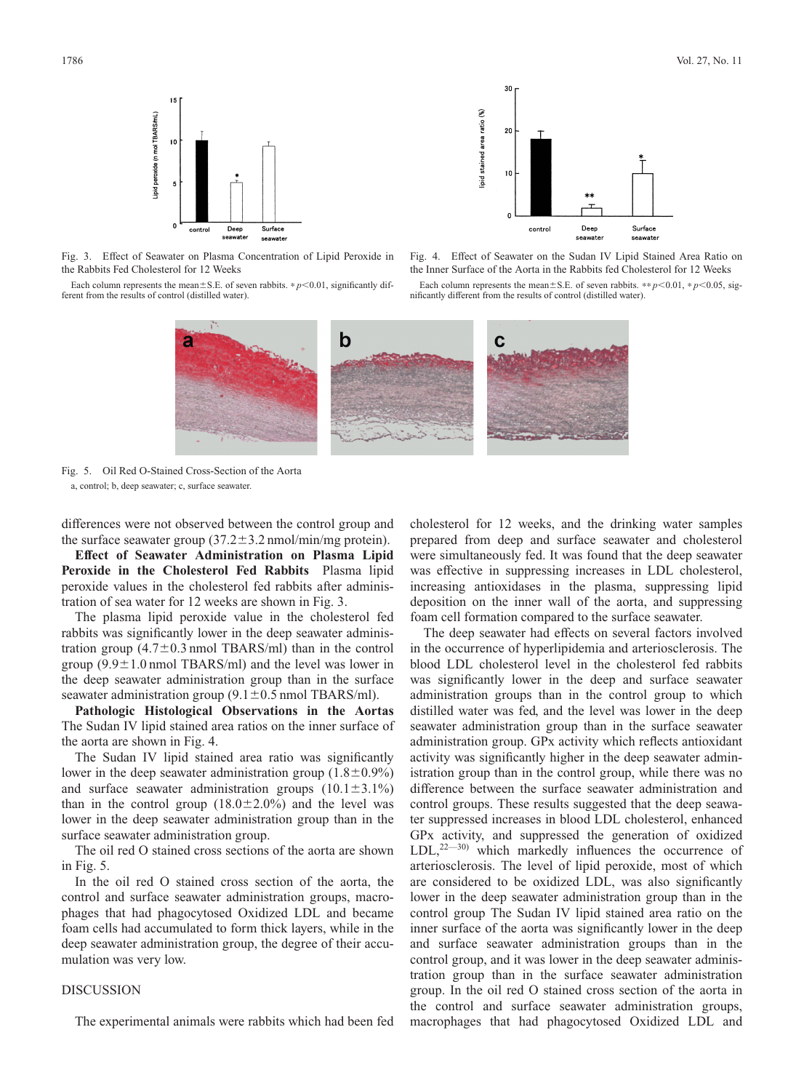

Fig. 3. Effect of Seawater on Plasma Concentration of Lipid Peroxide in the Rabbits Fed Cholesterol for 12 Weeks

Each column represents the mean $\pm$ S.E. of seven rabbits.  $* p \le 0.01$ , significantly different from the results of control (distilled water).



Fig. 4. Effect of Seawater on the Sudan IV Lipid Stained Area Ratio on the Inner Surface of the Aorta in the Rabbits fed Cholesterol for 12 Weeks

Each column represents the mean $\pm$  S.E. of seven rabbits. \*\* *p*<0.01, \* *p*<0.05, significantly different from the results of control (distilled water).



Fig. 5. Oil Red O-Stained Cross-Section of the Aorta a, control; b, deep seawater; c, surface seawater.

differences were not observed between the control group and the surface seawater group  $(37.2 \pm 3.2 \text{ nmol/min/mg protein})$ .

**Effect of Seawater Administration on Plasma Lipid Peroxide in the Cholesterol Fed Rabbits** Plasma lipid peroxide values in the cholesterol fed rabbits after administration of sea water for 12 weeks are shown in Fig. 3.

The plasma lipid peroxide value in the cholesterol fed rabbits was significantly lower in the deep seawater administration group  $(4.7\pm0.3 \text{ nmol}$  TBARS/ml) than in the control group  $(9.9\pm1.0 \text{ nmol}$  TBARS/ml) and the level was lower in the deep seawater administration group than in the surface seawater administration group  $(9.1 \pm 0.5 \text{ nmol} \text{ TBARS/ml}).$ 

**Pathologic Histological Observations in the Aortas** The Sudan IV lipid stained area ratios on the inner surface of the aorta are shown in Fig. 4.

The Sudan IV lipid stained area ratio was significantly lower in the deep seawater administration group  $(1.8\pm0.9\%)$ and surface seawater administration groups  $(10.1 \pm 3.1\%)$ than in the control group  $(18.0 \pm 2.0\%)$  and the level was lower in the deep seawater administration group than in the surface seawater administration group.

The oil red O stained cross sections of the aorta are shown in Fig. 5.

In the oil red O stained cross section of the aorta, the control and surface seawater administration groups, macrophages that had phagocytosed Oxidized LDL and became foam cells had accumulated to form thick layers, while in the deep seawater administration group, the degree of their accumulation was very low.

#### **DISCUSSION**

The experimental animals were rabbits which had been fed

cholesterol for 12 weeks, and the drinking water samples prepared from deep and surface seawater and cholesterol were simultaneously fed. It was found that the deep seawater was effective in suppressing increases in LDL cholesterol, increasing antioxidases in the plasma, suppressing lipid deposition on the inner wall of the aorta, and suppressing foam cell formation compared to the surface seawater.

The deep seawater had effects on several factors involved in the occurrence of hyperlipidemia and arteriosclerosis. The blood LDL cholesterol level in the cholesterol fed rabbits was significantly lower in the deep and surface seawater administration groups than in the control group to which distilled water was fed, and the level was lower in the deep seawater administration group than in the surface seawater administration group. GPx activity which reflects antioxidant activity was significantly higher in the deep seawater administration group than in the control group, while there was no difference between the surface seawater administration and control groups. These results suggested that the deep seawater suppressed increases in blood LDL cholesterol, enhanced GPx activity, and suppressed the generation of oxidized  $LDL<sub>1</sub><sup>22–30)</sup>$  which markedly influences the occurrence of arteriosclerosis. The level of lipid peroxide, most of which are considered to be oxidized LDL, was also significantly lower in the deep seawater administration group than in the control group The Sudan IV lipid stained area ratio on the inner surface of the aorta was significantly lower in the deep and surface seawater administration groups than in the control group, and it was lower in the deep seawater administration group than in the surface seawater administration group. In the oil red O stained cross section of the aorta in the control and surface seawater administration groups, macrophages that had phagocytosed Oxidized LDL and